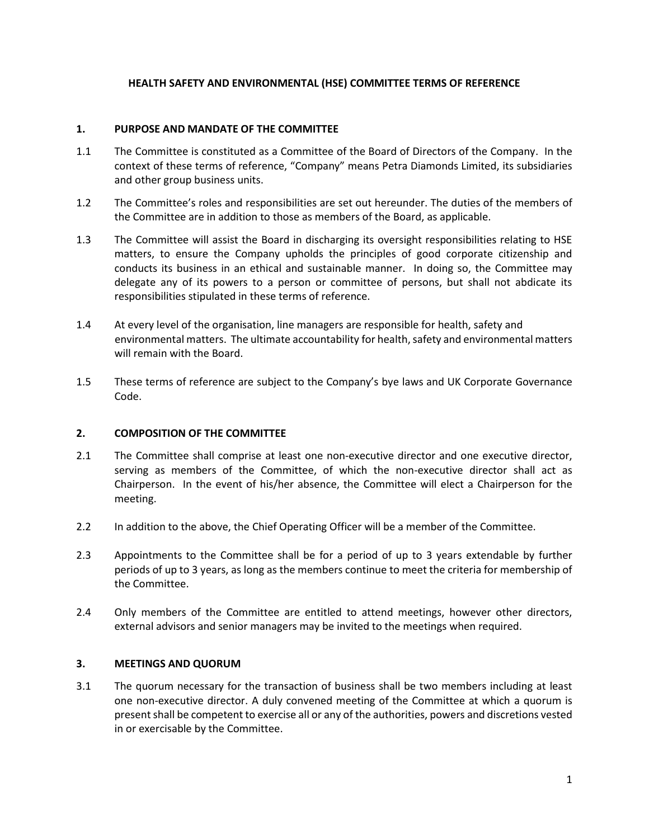## **HEALTH SAFETY AND ENVIRONMENTAL (HSE) COMMITTEE TERMS OF REFERENCE**

### **1. PURPOSE AND MANDATE OF THE COMMITTEE**

- 1.1 The Committee is constituted as a Committee of the Board of Directors of the Company. In the context of these terms of reference, "Company" means Petra Diamonds Limited, its subsidiaries and other group business units.
- 1.2 The Committee's roles and responsibilities are set out hereunder. The duties of the members of the Committee are in addition to those as members of the Board, as applicable.
- 1.3 The Committee will assist the Board in discharging its oversight responsibilities relating to HSE matters, to ensure the Company upholds the principles of good corporate citizenship and conducts its business in an ethical and sustainable manner. In doing so, the Committee may delegate any of its powers to a person or committee of persons, but shall not abdicate its responsibilities stipulated in these terms of reference.
- 1.4 At every level of the organisation, line managers are responsible for health, safety and environmental matters. The ultimate accountability for health, safety and environmental matters will remain with the Board.
- 1.5 These terms of reference are subject to the Company's bye laws and UK Corporate Governance Code.

## **2. COMPOSITION OF THE COMMITTEE**

- 2.1 The Committee shall comprise at least one non-executive director and one executive director, serving as members of the Committee, of which the non-executive director shall act as Chairperson. In the event of his/her absence, the Committee will elect a Chairperson for the meeting.
- 2.2 In addition to the above, the Chief Operating Officer will be a member of the Committee.
- 2.3 Appointments to the Committee shall be for a period of up to 3 years extendable by further periods of up to 3 years, as long as the members continue to meet the criteria for membership of the Committee.
- 2.4 Only members of the Committee are entitled to attend meetings, however other directors, external advisors and senior managers may be invited to the meetings when required.

#### **3. MEETINGS AND QUORUM**

3.1 The quorum necessary for the transaction of business shall be two members including at least one non-executive director. A duly convened meeting of the Committee at which a quorum is present shall be competent to exercise all or any of the authorities, powers and discretions vested in or exercisable by the Committee.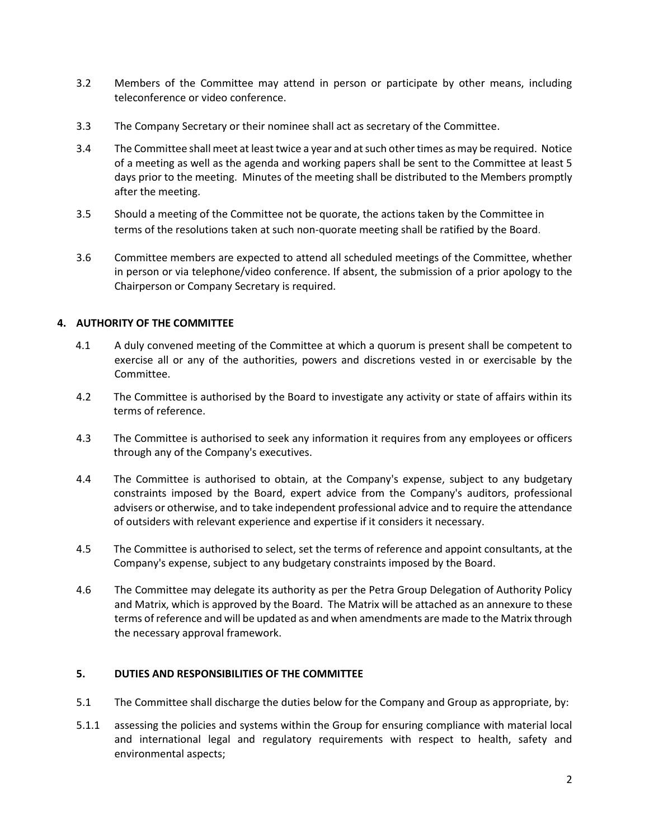- 3.2 Members of the Committee may attend in person or participate by other means, including teleconference or video conference.
- 3.3 The Company Secretary or their nominee shall act as secretary of the Committee.
- 3.4 The Committee shall meet at least twice a year and at such other times as may be required. Notice of a meeting as well as the agenda and working papers shall be sent to the Committee at least 5 days prior to the meeting. Minutes of the meeting shall be distributed to the Members promptly after the meeting.
- 3.5 Should a meeting of the Committee not be quorate, the actions taken by the Committee in terms of the resolutions taken at such non-quorate meeting shall be ratified by the Board.
- 3.6 Committee members are expected to attend all scheduled meetings of the Committee, whether in person or via telephone/video conference. If absent, the submission of a prior apology to the Chairperson or Company Secretary is required.

## **4. AUTHORITY OF THE COMMITTEE**

- 4.1 A duly convened meeting of the Committee at which a quorum is present shall be competent to exercise all or any of the authorities, powers and discretions vested in or exercisable by the Committee.
- 4.2 The Committee is authorised by the Board to investigate any activity or state of affairs within its terms of reference.
- 4.3 The Committee is authorised to seek any information it requires from any employees or officers through any of the Company's executives.
- 4.4 The Committee is authorised to obtain, at the Company's expense, subject to any budgetary constraints imposed by the Board, expert advice from the Company's auditors, professional advisers or otherwise, and to take independent professional advice and to require the attendance of outsiders with relevant experience and expertise if it considers it necessary.
- 4.5 The Committee is authorised to select, set the terms of reference and appoint consultants, at the Company's expense, subject to any budgetary constraints imposed by the Board.
- 4.6 The Committee may delegate its authority as per the Petra Group Delegation of Authority Policy and Matrix, which is approved by the Board. The Matrix will be attached as an annexure to these terms of reference and will be updated as and when amendments are made to the Matrix through the necessary approval framework.

## **5. DUTIES AND RESPONSIBILITIES OF THE COMMITTEE**

- 5.1 The Committee shall discharge the duties below for the Company and Group as appropriate, by:
- 5.1.1 assessing the policies and systems within the Group for ensuring compliance with material local and international legal and regulatory requirements with respect to health, safety and environmental aspects;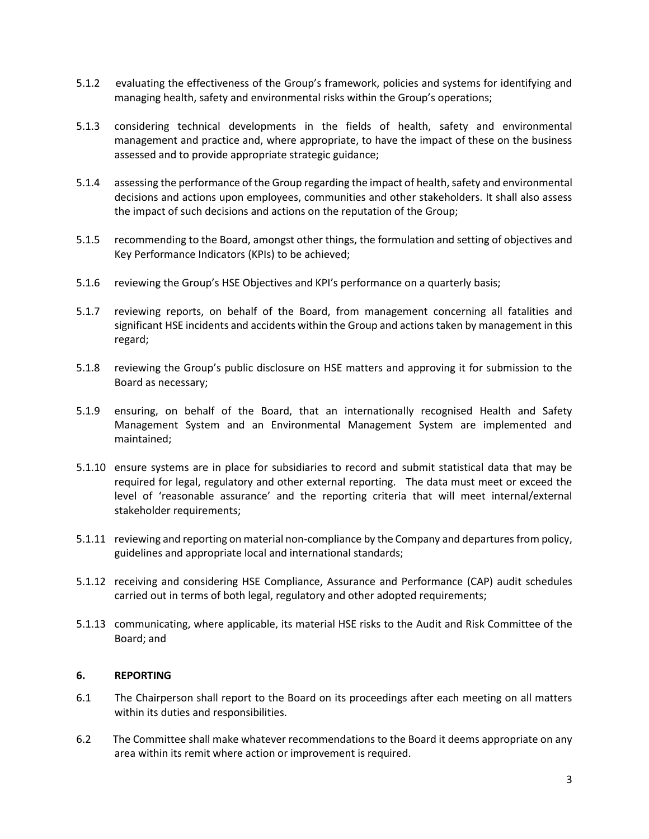- 5.1.2 evaluating the effectiveness of the Group's framework, policies and systems for identifying and managing health, safety and environmental risks within the Group's operations;
- 5.1.3 considering technical developments in the fields of health, safety and environmental management and practice and, where appropriate, to have the impact of these on the business assessed and to provide appropriate strategic guidance;
- 5.1.4 assessing the performance of the Group regarding the impact of health, safety and environmental decisions and actions upon employees, communities and other stakeholders. It shall also assess the impact of such decisions and actions on the reputation of the Group;
- 5.1.5 recommending to the Board, amongst other things, the formulation and setting of objectives and Key Performance Indicators (KPIs) to be achieved;
- 5.1.6 reviewing the Group's HSE Objectives and KPI's performance on a quarterly basis;
- 5.1.7 reviewing reports, on behalf of the Board, from management concerning all fatalities and significant HSE incidents and accidents within the Group and actions taken by management in this regard;
- 5.1.8 reviewing the Group's public disclosure on HSE matters and approving it for submission to the Board as necessary;
- 5.1.9 ensuring, on behalf of the Board, that an internationally recognised Health and Safety Management System and an Environmental Management System are implemented and maintained;
- 5.1.10 ensure systems are in place for subsidiaries to record and submit statistical data that may be required for legal, regulatory and other external reporting. The data must meet or exceed the level of 'reasonable assurance' and the reporting criteria that will meet internal/external stakeholder requirements;
- 5.1.11 reviewing and reporting on material non-compliance by the Company and departures from policy, guidelines and appropriate local and international standards;
- 5.1.12 receiving and considering HSE Compliance, Assurance and Performance (CAP) audit schedules carried out in terms of both legal, regulatory and other adopted requirements;
- 5.1.13 communicating, where applicable, its material HSE risks to the Audit and Risk Committee of the Board; and

## **6. REPORTING**

- 6.1 The Chairperson shall report to the Board on its proceedings after each meeting on all matters within its duties and responsibilities.
- 6.2 The Committee shall make whatever recommendations to the Board it deems appropriate on any area within its remit where action or improvement is required.